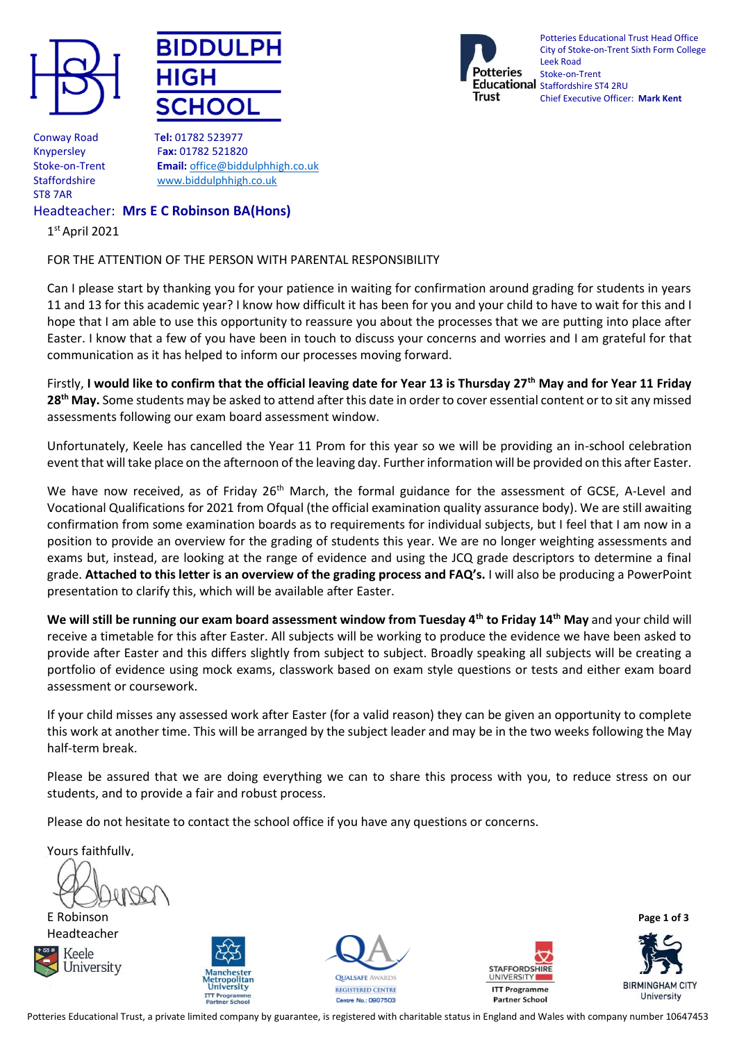





Potteries Educational Trust Head Office City of Stoke-on-Trent Sixth Form College Leek Road Stoke-on-Trent Educational Staffordshire ST4 2RU Chief Executive Officer: **Mark Kent**

Conway Road T**el:** 01782 523977 ST8 7AR

Knypersley F**ax:** 01782 521820 Stoke-on-Trent **Email:** [office@biddulphhigh.co.uk](mailto:office@biddulphhigh.co.uk) Staffordshire [www.biddulphhigh.co.uk](http://www.biddulphhigh.co.uk/) 

# Headteacher: **Mrs E C Robinson BA(Hons)**

1 st April 2021

# FOR THE ATTENTION OF THE PERSON WITH PARENTAL RESPONSIBILITY

Can I please start by thanking you for your patience in waiting for confirmation around grading for students in years 11 and 13 for this academic year? I know how difficult it has been for you and your child to have to wait for this and I hope that I am able to use this opportunity to reassure you about the processes that we are putting into place after Easter. I know that a few of you have been in touch to discuss your concerns and worries and I am grateful for that communication as it has helped to inform our processes moving forward.

Firstly, **I would like to confirm that the official leaving date for Year 13 is Thursday 27th May and for Year 11 Friday 28th May.** Some students may be asked to attend after this date in order to cover essential content or to sit any missed assessments following our exam board assessment window.

Unfortunately, Keele has cancelled the Year 11 Prom for this year so we will be providing an in-school celebration event that will take place on the afternoon of the leaving day. Further information will be provided on this after Easter.

We have now received, as of Friday 26<sup>th</sup> March, the formal guidance for the assessment of GCSE, A-Level and Vocational Qualifications for 2021 from Ofqual (the official examination quality assurance body). We are still awaiting confirmation from some examination boards as to requirements for individual subjects, but I feel that I am now in a position to provide an overview for the grading of students this year. We are no longer weighting assessments and exams but, instead, are looking at the range of evidence and using the JCQ grade descriptors to determine a final grade. **Attached to this letter is an overview of the grading process and FAQ's.** I will also be producing a PowerPoint presentation to clarify this, which will be available after Easter.

**We will still be running our exam board assessment window from Tuesday 4th to Friday 14th May** and your child will receive a timetable for this after Easter. All subjects will be working to produce the evidence we have been asked to provide after Easter and this differs slightly from subject to subject. Broadly speaking all subjects will be creating a portfolio of evidence using mock exams, classwork based on exam style questions or tests and either exam board assessment or coursework.

If your child misses any assessed work after Easter (for a valid reason) they can be given an opportunity to complete this work at another time. This will be arranged by the subject leader and may be in the two weeks following the May half-term break.

Please be assured that we are doing everything we can to share this process with you, to reduce stress on our students, and to provide a fair and robust process.

Please do not hesitate to contact the school office if you have any questions or concerns.

Yours faithfully,

E Robinson **Page 1 of 3** Headteacher











Potteries Educational Trust, a private limited company by guarantee, is registered with charitable status in England and Wales with company number 10647453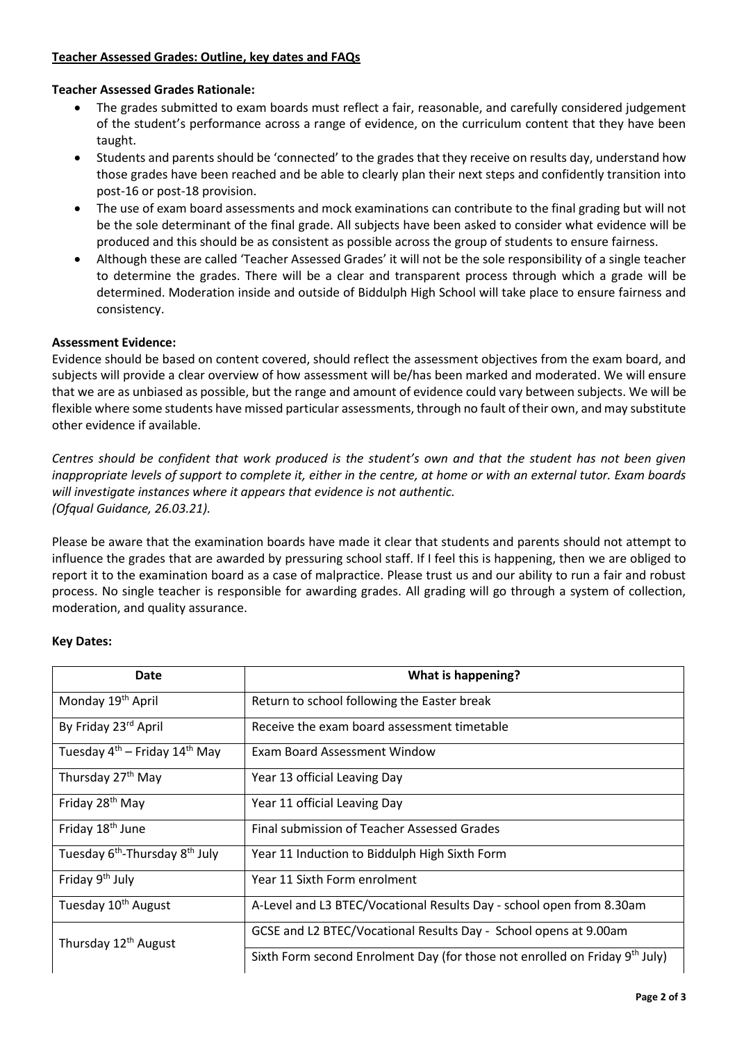# **Teacher Assessed Grades: Outline, key dates and FAQs**

### **Teacher Assessed Grades Rationale:**

- The grades submitted to exam boards must reflect a fair, reasonable, and carefully considered judgement of the student's performance across a range of evidence, on the curriculum content that they have been taught.
- Students and parents should be 'connected' to the grades that they receive on results day, understand how those grades have been reached and be able to clearly plan their next steps and confidently transition into post-16 or post-18 provision.
- The use of exam board assessments and mock examinations can contribute to the final grading but will not be the sole determinant of the final grade. All subjects have been asked to consider what evidence will be produced and this should be as consistent as possible across the group of students to ensure fairness.
- Although these are called 'Teacher Assessed Grades' it will not be the sole responsibility of a single teacher to determine the grades. There will be a clear and transparent process through which a grade will be determined. Moderation inside and outside of Biddulph High School will take place to ensure fairness and consistency.

### **Assessment Evidence:**

Evidence should be based on content covered, should reflect the assessment objectives from the exam board, and subjects will provide a clear overview of how assessment will be/has been marked and moderated. We will ensure that we are as unbiased as possible, but the range and amount of evidence could vary between subjects. We will be flexible where some students have missed particular assessments, through no fault of their own, and may substitute other evidence if available.

*Centres should be confident that work produced is the student's own and that the student has not been given inappropriate levels of support to complete it, either in the centre, at home or with an external tutor. Exam boards will investigate instances where it appears that evidence is not authentic. (Ofqual Guidance, 26.03.21).*

Please be aware that the examination boards have made it clear that students and parents should not attempt to influence the grades that are awarded by pressuring school staff. If I feel this is happening, then we are obliged to report it to the examination board as a case of malpractice. Please trust us and our ability to run a fair and robust process. No single teacher is responsible for awarding grades. All grading will go through a system of collection, moderation, and quality assurance.

#### **Key Dates:**

| Date                                                   | What is happening?                                                                      |
|--------------------------------------------------------|-----------------------------------------------------------------------------------------|
| Monday 19 <sup>th</sup> April                          | Return to school following the Easter break                                             |
| By Friday 23rd April                                   | Receive the exam board assessment timetable                                             |
| Tuesday 4 <sup>th</sup> – Friday 14 <sup>th</sup> May  | Exam Board Assessment Window                                                            |
| Thursday 27 <sup>th</sup> May                          | Year 13 official Leaving Day                                                            |
| Friday 28 <sup>th</sup> May                            | Year 11 official Leaving Day                                                            |
| Friday 18 <sup>th</sup> June                           | Final submission of Teacher Assessed Grades                                             |
| Tuesday 6 <sup>th</sup> -Thursday 8 <sup>th</sup> July | Year 11 Induction to Biddulph High Sixth Form                                           |
| Friday 9 <sup>th</sup> July                            | Year 11 Sixth Form enrolment                                                            |
| Tuesday 10 <sup>th</sup> August                        | A-Level and L3 BTEC/Vocational Results Day - school open from 8.30am                    |
| Thursday 12 <sup>th</sup> August                       | GCSE and L2 BTEC/Vocational Results Day - School opens at 9.00am                        |
|                                                        | Sixth Form second Enrolment Day (for those not enrolled on Friday 9 <sup>th</sup> July) |